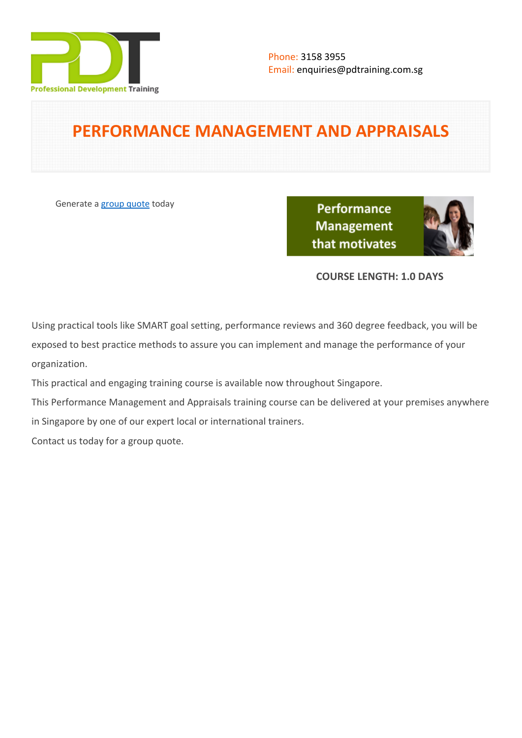

# **PERFORMANCE MANAGEMENT AND APPRAISALS**

Generate a [group quote](https://pdtraining.com.sg/inhouse-training-quote?cse=PDT063) today

**Performance Management** that motivates



# **COURSE LENGTH: 1.0 DAYS**

Using practical tools like SMART goal setting, performance reviews and 360 degree feedback, you will be exposed to best practice methods to assure you can implement and manage the performance of your organization.

This practical and engaging training course is available now throughout Singapore.

This Performance Management and Appraisals training course can be delivered at your premises anywhere in Singapore by one of our expert local or international trainers.

Contact us today for a [group quote.](https://pdtraining.com.sg/bookings/inhouseex1/quoterequestex1a.aspx)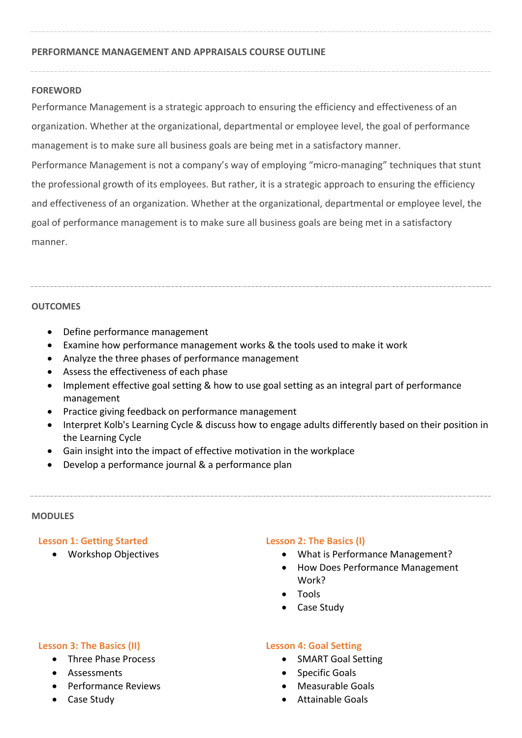### **PERFORMANCE MANAGEMENT AND APPRAISALS COURSE OUTLINE**

### **FOREWORD**

Performance Management is a strategic approach to ensuring the efficiency and effectiveness of an organization. Whether at the organizational, departmental or employee level, the goal of performance management is to make sure all business goals are being met in a satisfactory manner.

Performance Management is not a company's way of employing "micro-managing" techniques that stunt the professional growth of its employees. But rather, it is a strategic approach to ensuring the efficiency and effectiveness of an organization. Whether at the organizational, departmental or employee level, the goal of performance management is to make sure all business goals are being met in a satisfactory manner.

#### **OUTCOMES**

- Define performance management
- Examine how performance management works & the tools used to make it work
- Analyze the three phases of performance management
- Assess the effectiveness of each phase
- Implement effective goal setting & how to use goal setting as an integral part of performance management
- Practice giving feedback on performance management
- Interpret Kolb's Learning Cycle & discuss how to engage adults differently based on their position in the Learning Cycle
- Gain insight into the impact of effective motivation in the workplace
- Develop a performance journal & a performance plan

#### **MODULES**

## **Lesson 1: Getting Started**

Workshop Objectives

## **Lesson 2: The Basics (I)**

- What is Performance Management?
- How Does Performance Management Work?
- Tools
- Case Study

#### **Lesson 3: The Basics (II)**

- Three Phase Process
- Assessments
- Performance Reviews
- Case Study

#### **Lesson 4: Goal Setting**

- SMART Goal Setting
- Specific Goals
- Measurable Goals
- Attainable Goals